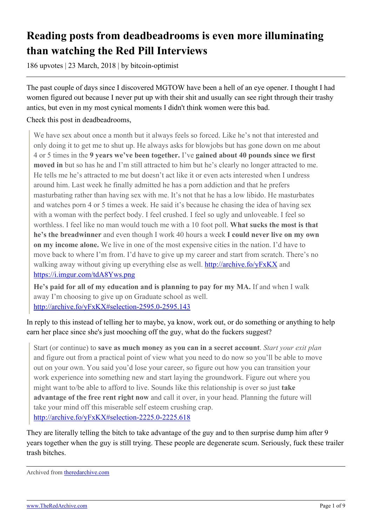# **Reading posts from deadbeadrooms is even more illuminating than watching the Red Pill Interviews**

186 upvotes | 23 March, 2018 | by bitcoin-optimist

The past couple of days since I discovered MGTOW have been a hell of an eye opener. I thought I had women figured out because I never put up with their shit and usually can see right through their trashy antics, but even in my most cynical moments I didn't think women were this bad.

Check this post in deadbeadrooms,

We have sex about once a month but it always feels so forced. Like he's not that interested and only doing it to get me to shut up. He always asks for blowjobs but has gone down on me about 4 or 5 times in the **9 years we've been together.** I've **gained about 40 pounds since we first moved in** but so has he and I'm still attracted to him but he's clearly no longer attracted to me. He tells me he's attracted to me but doesn't act like it or even acts interested when I undress around him. Last week he finally admitted he has a porn addiction and that he prefers masturbating rather than having sex with me. It's not that he has a low libido. He masturbates and watches porn 4 or 5 times a week. He said it's because he chasing the idea of having sex with a woman with the perfect body. I feel crushed. I feel so ugly and unloveable. I feel so worthless. I feel like no man would touch me with a 10 foot poll. **What sucks the most is that he's the breadwinner** and even though I work 40 hours a week **I could never live on my own on my income alone.** We live in one of the most expensive cities in the nation. I'd have to move back to where I'm from. I'd have to give up my career and start from scratch. There's no walking away without giving up everything else as well. <http://archive.fo/yFxKX> and <https://i.imgur.com/tdA8Yws.png>

**He's paid for all of my education and is planning to pay for my MA.** If and when I walk away I'm choosing to give up on Graduate school as well. <http://archive.fo/yFxKX#selection-2595.0-2595.143>

In reply to this instead of telling her to maybe, ya know, work out, or do something or anything to help earn her place since she's just mooching off the guy, what do the fuckers suggest?

Start (or continue) to **save as much money as you can in a secret account**. *Start your exit plan* and figure out from a practical point of view what you need to do now so you'll be able to move out on your own. You said you'd lose your career, so figure out how you can transition your work experience into something new and start laying the groundwork. Figure out where you might want to/be able to afford to live. Sounds like this relationship is over so just **take advantage of the free rent right now** and call it over, in your head. Planning the future will take your mind off this miserable self esteem crushing crap. <http://archive.fo/yFxKX#selection-2225.0-2225.618>

They are literally telling the bitch to take advantage of the guy and to then surprise dump him after 9 years together when the guy is still trying. These people are degenerate scum. Seriously, fuck these trailer trash bitches.

Archived from [theredarchive.com](https://theredarchive.com/r/MGTOW/reading-posts-from-deadbeadrooms-is-even-more.578488)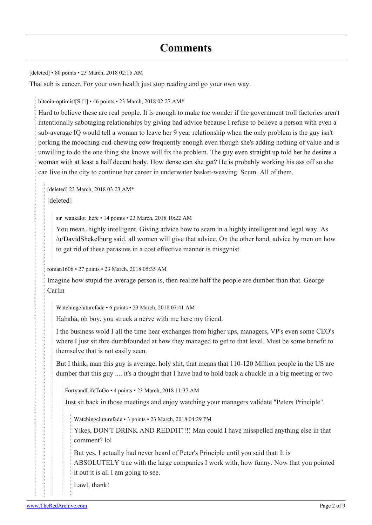[deleted] • 80 points • 23 March, 2018 02:15 AM

That sub is cancer. For your own health just stop reading and go your own way.

[bitcoin-optimist](https://old.reddit.com/user/bitcoin-optimist) $[S, \Box]$  $[S, \Box]$  • 46 points • 23 March, 2018 02:27 AM\*

Hard to believe these are real people. It is enough to make me wonder if the government troll factories aren't intentionally sabotaging relationships by giving bad advice because I refuse to believe a person with even a sub-average IQ would tell a woman to leave her 9 year relationship when the only problem is the guy isn't porking the mooching cud-chewing cow frequently enough even though she's adding nothing of value and is unwilling to do the one thing she knows will fix the problem. [The guy even straight up told her he desires a](http://archive.fo/yFxKX#selection-1781.205-1781.297) [woman with at least a half decent body. How dense can she get?](http://archive.fo/yFxKX#selection-1781.205-1781.297) He is probably working his ass off so she can live in the city to continue her career in underwater basket-weaving. Scum. All of them.

[deleted] 23 March, 2018 03:23 AM\*

[deleted]

[sir\\_wankalot\\_here](https://old.reddit.com/user/sir_wankalot_here) • 14 points • 23 March, 2018 10:22 AM

You mean, highly intelligent. Giving advice how to scam in a highly intelligent and legal way. As [/u/DavidShekelburg](https://theredarchive.com/u/DavidShekelburg) said, all women will give that advice. On the other hand, advice by men on how to get rid of these parasites in a cost effective manner is misgynist.

[roman1606](https://old.reddit.com/user/roman1606) • 27 points • 23 March, 2018 05:35 AM

Imagine how stupid the average person is, then realize half the people are dumber than that. George Carlin

[Watchingcluturefade](https://old.reddit.com/user/Watchingcluturefade) • 6 points • 23 March, 2018 07:41 AM

Hahaha, oh boy, you struck a nerve with me here my friend.

I the business wold I all the time hear exchanges from higher ups, managers, VP's even some CEO's where I just sit thre dumbfounded at how they managed to get to that level. Must be some benefit to themselve that is not easily seen.

But I think, man this guy is average, holy shit, that means that 110-120 Million people in the US are dumber that this guy .... it's a thought that I have had to hold back a chuckle in a big meeting or two

[FortyandLifeToGo](https://old.reddit.com/user/FortyandLifeToGo) • 4 points • 23 March, 2018 11:37 AM

Just sit back in those meetings and enjoy watching your managers validate "Peters Principle".

[Watchingcluturefade](https://old.reddit.com/user/Watchingcluturefade) • 3 points • 23 March, 2018 04:29 PM

Yikes, DON'T DRINK AND REDDIT!!!! Man could I have misspelled anything else in that comment? lol

But yes, I actually had never heard of Peter's Principle until you said that. It is ABSOLUTELY true with the large companies I work with, how funny. Now that you pointed it out it is all I am going to see.

Lawl, thank!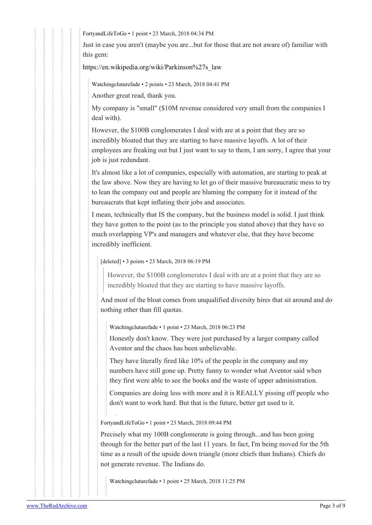[FortyandLifeToGo](https://old.reddit.com/user/FortyandLifeToGo) • 1 point • 23 March, 2018 04:34 PM

Just in case you aren't (maybe you are...but for those that are not aware of) familiar with this gem:

[https://en.wikipedia.org/wiki/Parkinson%27s\\_law](https://en.wikipedia.org/wiki/Parkinson%27s_law)

[Watchingcluturefade](https://old.reddit.com/user/Watchingcluturefade) • 2 points • 23 March, 2018 04:41 PM

Another great read, thank you.

My company is "small" (\$10M revenue considered very small from the companies I deal with).

However, the \$100B conglomerates I deal with are at a point that they are so incredibly bloated that they are starting to have massive layoffs. A lot of their employees are freaking out but I just want to say to them, I am sorry, I agree that your job is just redundant.

It's almost like a lot of companies, especially with automation, are starting to peak at the law above. Now they are having to let go of their massive bureaucratic mess to try to lean the company out and people are blaming the company for it instead of the bureaucrats that kept inflating their jobs and associates.

I mean, technically that IS the company, but the business model is solid. I just think they have gotten to the point (as to the principle you stated above) that they have so much overlapping VP's and managers and whatever else, that they have become incredibly inefficient.

[deleted] • 3 points • 23 March, 2018 06:19 PM

However, the \$100B conglomerates I deal with are at a point that they are so incredibly bloated that they are starting to have massive layoffs.

And most of the bloat comes from unqualified diversity hires that sit around and do nothing other than fill quotas.

[Watchingcluturefade](https://old.reddit.com/user/Watchingcluturefade) • 1 point • 23 March, 2018 06:23 PM

Honestly don't know. They were just purchased by a larger company called Aventor and the chaos has been unbelievable.

They have literally fired like 10% of the people in the company and my numbers have still gone up. Pretty funny to wonder what Aventor said when they first were able to see the books and the waste of upper administration.

Companies are doing less with more and it is REALLY pissing off people who don't want to work hard. But that is the future, better get used to it.

[FortyandLifeToGo](https://old.reddit.com/user/FortyandLifeToGo) • 1 point • 23 March, 2018 09:44 PM

Precisely what my 100B conglomerate is going through...and has been going through for the better part of the last 11 years. In fact, I'm being moved for the 5th time as a result of the upside down triangle (more chiefs than Indians). Chiefs do not generate revenue. The Indians do.

[Watchingcluturefade](https://old.reddit.com/user/Watchingcluturefade) • 1 point • 25 March, 2018 11:25 PM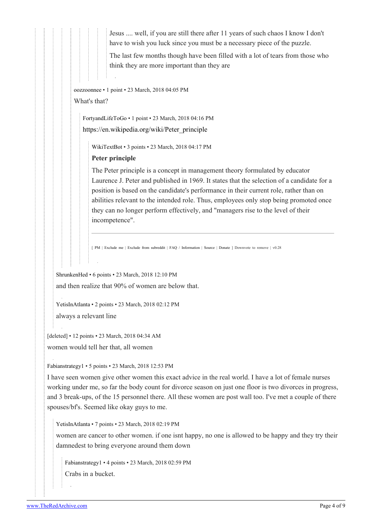Jesus .... well, if you are still there after 11 years of such chaos I know I don't have to wish you luck since you must be a necessary piece of the puzzle.

The last few months though have been filled with a lot of tears from those who think they are more important than they are

[oozzoonnee](https://old.reddit.com/user/oozzoonnee) • 1 point • 23 March, 2018 04:05 PM

#### What's that?

[FortyandLifeToGo](https://old.reddit.com/user/FortyandLifeToGo) • 1 point • 23 March, 2018 04:16 PM [https://en.wikipedia.org/wiki/Peter\\_principle](https://en.wikipedia.org/wiki/Peter_principle)

[WikiTextBot](https://old.reddit.com/user/WikiTextBot) • 3 points • 23 March, 2018 04:17 PM

### **Peter principle**

The Peter principle is a concept in management theory formulated by educator Laurence J. Peter and published in 1969. It states that the selection of a candidate for a position is based on the candidate's performance in their current role, rather than on abilities relevant to the intended role. Thus, employees only stop being promoted once they can no longer perform effectively, and "managers rise to the level of their incompetence".

[ [PM](https://www.reddit.com/message/compose?to=kittens_from_space) | [Exclude](https://reddit.com/message/compose?to=WikiTextBot&message=Excludeme&subject=Excludeme) [me](https://reddit.com/message/compose?to=WikiTextBot&message=Excludeme&subject=Excludeme) | [Exclude](https://np.reddit.com/r/MGTOW/about/banned) [from](https://np.reddit.com/r/MGTOW/about/banned) [subreddit](https://np.reddit.com/r/MGTOW/about/banned) | [FAQ](https://np.reddit.com/r/WikiTextBot/wiki/index) [/](https://np.reddit.com/r/WikiTextBot/wiki/index) [Information](https://np.reddit.com/r/WikiTextBot/wiki/index) | [Source](https://github.com/kittenswolf/WikiTextBot) | [Donate](https://www.reddit.com/r/WikiTextBot/wiki/donate) ] Downvote to remove | v0.28

[ShrunkenHed](https://old.reddit.com/user/ShrunkenHed) • 6 points • 23 March, 2018 12:10 PM and then realize that 90% of women are below that.

[YetisInAtlanta](https://old.reddit.com/user/YetisInAtlanta) • 2 points • 23 March, 2018 02:12 PM always a relevant line

[deleted] • 12 points • 23 March, 2018 04:34 AM

women would tell her that, all women

#### [Fabianstrategy1](https://old.reddit.com/user/Fabianstrategy1) • 5 points • 23 March, 2018 12:53 PM

I have seen women give other women this exact advice in the real world. I have a lot of female nurses working under me, so far the body count for divorce season on just one floor is two divorces in progress, and 3 break-ups, of the 15 personnel there. All these women are post wall too. I've met a couple of there spouses/bf's. Seemed like okay guys to me.

[YetisInAtlanta](https://old.reddit.com/user/YetisInAtlanta) • 7 points • 23 March, 2018 02:19 PM

women are cancer to other women. if one isnt happy, no one is allowed to be happy and they try their damnedest to bring everyone around them down

[Fabianstrategy1](https://old.reddit.com/user/Fabianstrategy1) • 4 points • 23 March, 2018 02:59 PM Crabs in a bucket.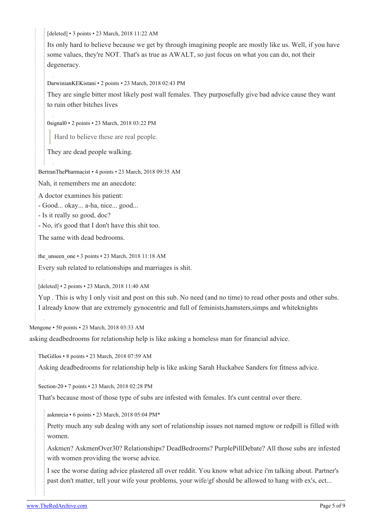[deleted] • 3 points • 23 March, 2018 11:22 AM

Its only hard to believe because we get by through imagining people are mostly like us. Well, if you have some values, they're NOT. That's as true as AWALT, so just focus on what you can do, not their degeneracy.

[DarwinianKEKistani](https://old.reddit.com/user/DarwinianKEKistani) • 2 points • 23 March, 2018 02:43 PM

They are single bitter most likely post wall females. They purposefully give bad advice cause they want to ruin other bitches lives

[0signal0](https://old.reddit.com/user/0signal0) • 2 points • 23 March, 2018 03:22 PM

Hard to believe these are real people.

They are dead people walking.

[BertranThePharmacist](https://old.reddit.com/user/BertranThePharmacist) • 4 points • 23 March, 2018 09:35 AM

Nah, it remembers me an anecdote:

A doctor examines his patient:

- Good... okay... a-ha, nice... good...

- Is it really so good, doc?

- No, it's good that I don't have this shit too.

The same with dead bedrooms.

[the\\_unseen\\_one](https://old.reddit.com/user/the_unseen_one) • 3 points • 23 March, 2018 11:18 AM

Every sub related to relationships and marriages is shit.

[deleted] • 2 points • 23 March, 2018 11:40 AM

Yup . This is why I only visit and post on this sub. No need (and no time) to read other posts and other subs. I already know that are extremely gynocentric and full of feminists,hamsters,simps and whiteknights

[Mengone](https://old.reddit.com/user/Mengone) • 50 points • 23 March, 2018 03:33 AM

asking deadbedrooms for relationship help is like asking a homeless man for financial advice.

[TheGillos](https://old.reddit.com/user/TheGillos) • 8 points • 23 March, 2018 07:59 AM

Asking deadbedrooms for relationship help is like asking Sarah Huckabee Sanders for fitness advice.

[Section-20](https://old.reddit.com/user/Section-20) • 7 points • 23 March, 2018 02:28 PM

That's because most of those type of subs are infested with females. It's cunt central over there.

[askmrcia](https://old.reddit.com/user/askmrcia) • 6 points • 23 March, 2018 05:04 PM\*

Pretty much any sub dealng with any sort of relationship issues not named mgtow or redpill is filled with women.

Askmen? AskmenOver30? Relationships? DeadBedrooms? PurplePillDebate? All those subs are infested with women providing the worse advice.

I see the worse dating advice plastered all over reddit. You know what advice i'm talking about. Partner's past don't matter, tell your wife your problems, your wife/gf should be allowed to hang witb ex's, ect...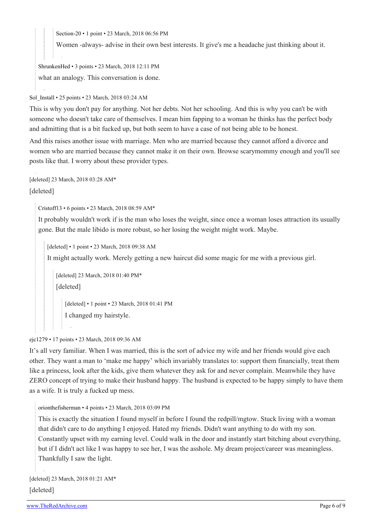[Section-20](https://old.reddit.com/user/Section-20) • 1 point • 23 March, 2018 06:56 PM

Women -always- advise in their own best interests. It give's me a headache just thinking about it.

[ShrunkenHed](https://old.reddit.com/user/ShrunkenHed) • 3 points • 23 March, 2018 12:11 PM what an analogy. This conversation is done.

[Sol\\_Install](https://old.reddit.com/user/Sol_Install) • 25 points • 23 March, 2018 03:24 AM

This is why you don't pay for anything. Not her debts. Not her schooling. And this is why you can't be with someone who doesn't take care of themselves. I mean him fapping to a woman he thinks has the perfect body and admitting that is a bit fucked up, but both seem to have a case of not being able to be honest.

And this raises another issue with marriage. Men who are married because they cannot afford a divorce and women who are married because they cannot make it on their own. Browse scarymommy enough and you'll see posts like that. I worry about these provider types.

[deleted] 23 March, 2018 03:28 AM\*

[deleted]

[Cristoff13](https://old.reddit.com/user/Cristoff13) • 6 points • 23 March, 2018 08:59 AM\*

It probably wouldn't work if is the man who loses the weight, since once a woman loses attraction its usually gone. But the male libido is more robust, so her losing the weight might work. Maybe.

[deleted] • 1 point • 23 March, 2018 09:38 AM

It might actually work. Merely getting a new haircut did some magic for me with a previous girl.

[deleted] 23 March, 2018 01:40 PM\* [deleted]

[deleted] • 1 point • 23 March, 2018 01:41 PM

I changed my hairstyle.

[ejc1279](https://old.reddit.com/user/ejc1279) • 17 points • 23 March, 2018 09:36 AM

It's all very familiar. When I was married, this is the sort of advice my wife and her friends would give each other. They want a man to 'make me happy' which invariably translates to: support them financially, treat them like a princess, look after the kids, give them whatever they ask for and never complain. Meanwhile they have ZERO concept of trying to make their husband happy. The husband is expected to be happy simply to have them as a wife. It is truly a fucked up mess.

[orionthefisherman](https://old.reddit.com/user/orionthefisherman) • 4 points • 23 March, 2018 03:09 PM

This is exactly the situation I found myself in before I found the redpill/mgtow. Stuck living with a woman that didn't care to do anything I enjoyed. Hated my friends. Didn't want anything to do with my son. Constantly upset with my earning level. Could walk in the door and instantly start bitching about everything, but if I didn't act like I was happy to see her, I was the asshole. My dream project/career was meaningless. Thankfully I saw the light.

[deleted] 23 March, 2018 01:21 AM\* [deleted]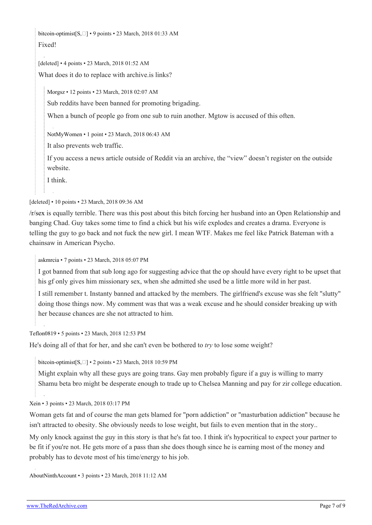[bitcoin-optimist](https://old.reddit.com/user/bitcoin-optimist)[\[S,](https://theredarchive.com/r/MGTOW/comments/86gvy5/reading_posts_from_deadbeadrooms_is_even_more/) $\square$ ] • 9 points • 23 March, 2018 01:33 AM Fixed!

[deleted] • 4 points • 23 March, 2018 01:52 AM

What does it do to replace with archive.is links?

[Morgsz](https://old.reddit.com/user/Morgsz) • 12 points • 23 March, 2018 02:07 AM

Sub reddits have been banned for promoting brigading.

When a bunch of people go from one sub to ruin another. Mgtow is accused of this often.

[NotMyWomen](https://old.reddit.com/user/NotMyWomen) • 1 point • 23 March, 2018 06:43 AM

It also prevents web traffic.

If you access a news article outside of Reddit via an archive, the "view" doesn't register on the outside website.

I think.

[deleted] • 10 points • 23 March, 2018 09:36 AM

[/r/sex](https://theredarchive.com/r/sex) is equally terrible. There was this post about this bitch forcing her husband into an Open Relationship and banging Chad. Guy takes some time to find a chick but his wife explodes and creates a drama. Everyone is telling the guy to go back and not fuck the new girl. I mean WTF. Makes me feel like Patrick Bateman with a chainsaw in American Psycho.

[askmrcia](https://old.reddit.com/user/askmrcia) • 7 points • 23 March, 2018 05:07 PM

I got banned from that sub long ago for suggesting advice that the op should have every right to be upset that his gf only gives him missionary sex, when she admitted she used be a little more wild in her past.

I still remember t. Instanty banned and attacked by the members. The girlfriend's excuse was she felt "slutty" doing those things now. My comment was that was a weak excuse and he should consider breaking up with her because chances are she not attracted to him.

[Teflon0819](https://old.reddit.com/user/Teflon0819) • 5 points • 23 March, 2018 12:53 PM

He's doing all of that for her, and she can't even be bothered to *try* to lose some weight?

[bitcoin-optimist](https://old.reddit.com/user/bitcoin-optimist)[\[S,](https://theredarchive.com/r/MGTOW/comments/86gvy5/reading_posts_from_deadbeadrooms_is_even_more/) $\square$ ] • 2 points • 23 March, 2018 10:59 PM

Might explain why all these guys are going trans. Gay men probably figure if a guy is willing to marry Shamu beta bro might be desperate enough to trade up to Chelsea Manning and pay for zir college education.

[Xein](https://old.reddit.com/user/Xein) • 3 points • 23 March, 2018 03:17 PM

Woman gets fat and of course the man gets blamed for "porn addiction" or "masturbation addiction" because he isn't attracted to obesity. She obviously needs to lose weight, but fails to even mention that in the story..

My only knock against the guy in this story is that he's fat too. I think it's hypocritical to expect your partner to be fit if you're not. He gets more of a pass than she does though since he is earning most of the money and probably has to devote most of his time/energy to his job.

[AboutNinthAccount](https://old.reddit.com/user/AboutNinthAccount) • 3 points • 23 March, 2018 11:12 AM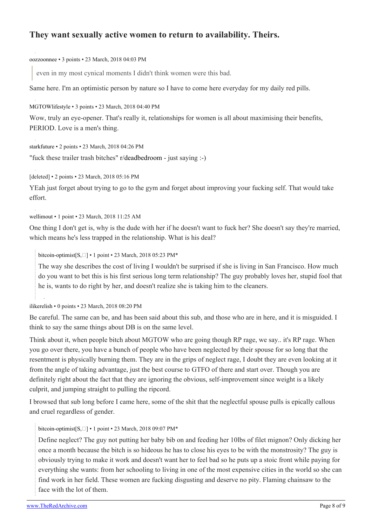## **They want sexually active women to return to availability. Theirs.**

[oozzoonnee](https://old.reddit.com/user/oozzoonnee) • 3 points • 23 March, 2018 04:03 PM

even in my most cynical moments I didn't think women were this bad.

Same here. I'm an optimistic person by nature so I have to come here everyday for my daily red pills.

[MGTOWlifestyle](https://old.reddit.com/user/MGTOWlifestyle) • 3 points • 23 March, 2018 04:40 PM

Wow, truly an eye-opener. That's really it, relationships for women is all about maximising their benefits, PERIOD. Love is a men's thing.

[starkfuture](https://old.reddit.com/user/starkfuture) • 2 points • 23 March, 2018 04:26 PM "fuck these trailer trash bitches" [r/deadbedroom](https://theredarchive.com/r/deadbedroom) - just saying :-)

[deleted] • 2 points • 23 March, 2018 05:16 PM

YEah just forget about trying to go to the gym and forget about improving your fucking self. That would take effort.

[wellimout](https://old.reddit.com/user/wellimout) • 1 point • 23 March, 2018 11:25 AM

One thing I don't get is, why is the dude with her if he doesn't want to fuck her? She doesn't say they're married, which means he's less trapped in the relationship. What is his deal?

[bitcoin-optimist](https://old.reddit.com/user/bitcoin-optimist)[\[S,](https://theredarchive.com/r/MGTOW/comments/86gvy5/reading_posts_from_deadbeadrooms_is_even_more/)] • 1 point • 23 March, 2018 05:23 PM\*

The way she describes the cost of living I wouldn't be surprised if she is living in San Francisco. How much do you want to bet this is his first serious long term relationship? The guy probably loves her, stupid fool that he is, wants to do right by her, and doesn't realize she is taking him to the cleaners.

[ilikerelish](https://old.reddit.com/user/ilikerelish) • 0 points • 23 March, 2018 08:20 PM

Be careful. The same can be, and has been said about this sub, and those who are in here, and it is misguided. I think to say the same things about DB is on the same level.

Think about it, when people bitch about MGTOW who are going though RP rage, we say.. it's RP rage. When you go over there, you have a bunch of people who have been neglected by their spouse for so long that the resentment is physically burning them. They are in the grips of neglect rage, I doubt they are even looking at it from the angle of taking advantage, just the best course to GTFO of there and start over. Though you are definitely right about the fact that they are ignoring the obvious, self-improvement since weight is a likely culprit, and jumping straight to pulling the ripcord.

I browsed that sub long before I came here, some of the shit that the neglectful spouse pulls is epically callous and cruel regardless of gender.

[bitcoin-optimist](https://old.reddit.com/user/bitcoin-optimist)[\[S,](https://theredarchive.com/r/MGTOW/comments/86gvy5/reading_posts_from_deadbeadrooms_is_even_more/) $\square$ ] • 1 point • 23 March, 2018 09:07 PM\*

Define neglect? The guy not putting her baby bib on and feeding her 10lbs of filet mignon? Only dicking her once a month because the bitch is so hideous he has to close his eyes to be with the monstrosity? The guy is obviously trying to make it work and doesn't want her to feel bad so he puts up a stoic front while paying for everything she wants: from her schooling to living in one of the most expensive cities in the world so she can find work in her field. These women are fucking disgusting and deserve no pity. Flaming chainsaw to the face with the lot of them.